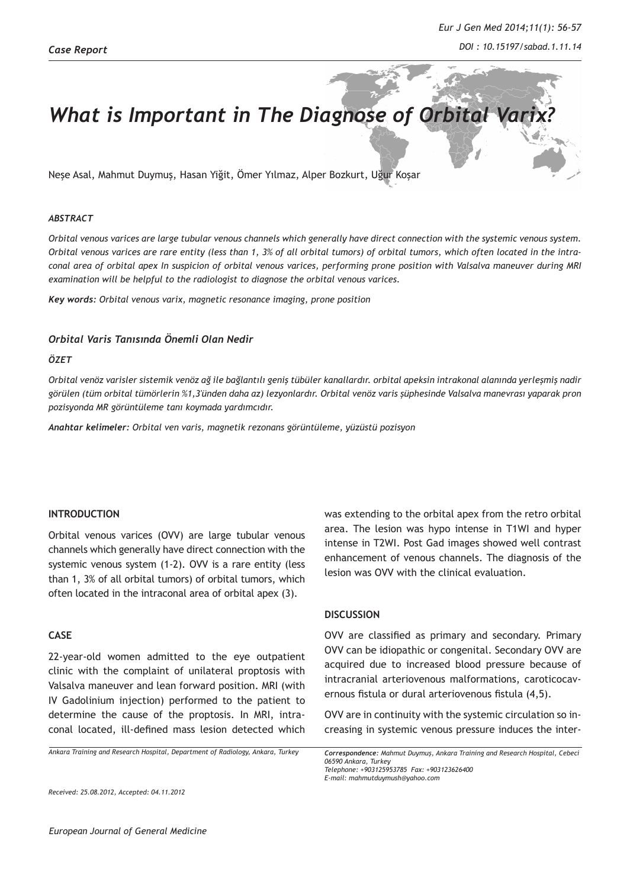# What is Important in The Diagnose of Orbital Var

Neşe Asal, Mahmut Duymuş, Hasan Yiğit, Ömer Yılmaz, Alper Bozkurt, Uğur Koşar

#### *ABSTRACT*

*Orbital venous varices are large tubular venous channels which generally have direct connection with the systemic venous system. Orbital venous varices are rare entity (less than 1, 3% of all orbital tumors) of orbital tumors, which often located in the intraconal area of orbital apex In suspicion of orbital venous varices, performing prone position with Valsalva maneuver during MRI examination will be helpful to the radiologist to diagnose the orbital venous varices.* 

*Key words: Orbital venous varix, magnetic resonance imaging, prone position*

## *Orbital Varis Tanısında Önemli Olan Nedir*

### *ÖZET*

*Orbital venöz varisler sistemik venöz ağ ile bağlantılı geniş tübüler kanallardır. orbital apeksin intrakonal alanında yerleşmiş nadir görülen (tüm orbital tümörlerin %1,3'ünden daha az) lezyonlardır. Orbital venöz varis şüphesinde Valsalva manevrası yaparak pron pozisyonda MR görüntüleme tanı koymada yardımcıdır.* 

*Anahtar kelimeler: Orbital ven varis, magnetik rezonans görüntüleme, yüzüstü pozisyon*

### **INTRODUCTION**

Orbital venous varices (OVV) are large tubular venous channels which generally have direct connection with the systemic venous system (1-2). OVV is a rare entity (less than 1, 3% of all orbital tumors) of orbital tumors, which often located in the intraconal area of orbital apex (3).

### **CASE**

22-year-old women admitted to the eye outpatient clinic with the complaint of unilateral proptosis with Valsalva maneuver and lean forward position. MRI (with IV Gadolinium injection) performed to the patient to determine the cause of the proptosis. In MRI, intraconal located, ill-defined mass lesion detected which

*Ankara Training and Research Hospital, Department of Radiology, Ankara, Turkey*

was extending to the orbital apex from the retro orbital area. The lesion was hypo intense in T1WI and hyper intense in T2WI. Post Gad images showed well contrast enhancement of venous channels. The diagnosis of the lesion was OVV with the clinical evaluation.

#### **DISCUSSION**

OVV are classified as primary and secondary. Primary OVV can be idiopathic or congenital. Secondary OVV are acquired due to increased blood pressure because of intracranial arteriovenous malformations, caroticocavernous fistula or dural arteriovenous fistula (4,5).

OVV are in continuity with the systemic circulation so increasing in systemic venous pressure induces the inter-

*Correspondence: Mahmut Duymuş, Ankara Training and Research Hospital, Cebeci 06590 Ankara, Turkey Telephone: +903125953785 Fax: +903123626400 E-mail: mahmutduymush@yahoo.com* 

*Received: 25.08.2012, Accepted: 04.11.2012*